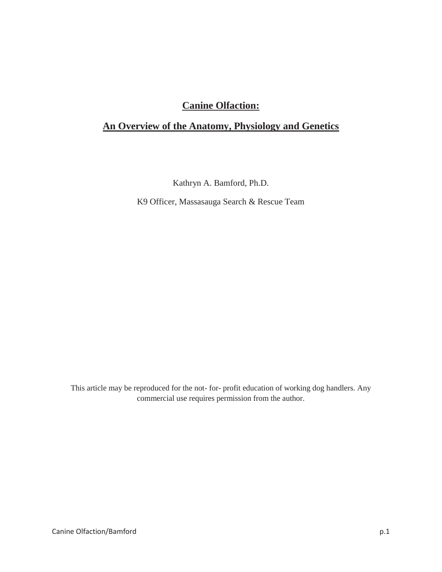# **Canine Olfaction:**

# **An Overview of the Anatomy, Physiology and Genetics**

Kathryn A. Bamford, Ph.D.

K9 Officer, Massasauga Search & Rescue Team

This article may be reproduced for the not- for- profit education of working dog handlers. Any commercial use requires permission from the author.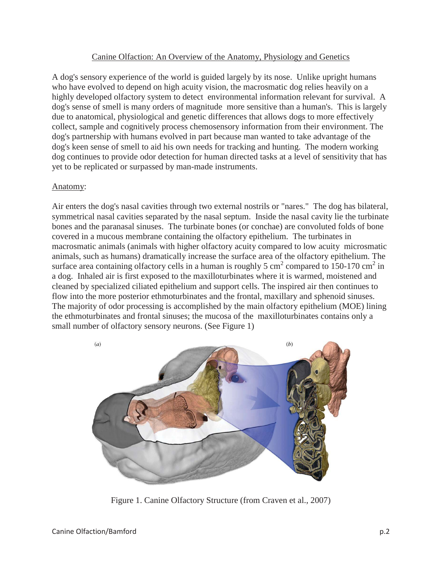#### Canine Olfaction: An Overview of the Anatomy, Physiology and Genetics

A dog's sensory experience of the world is guided largely by its nose. Unlike upright humans who have evolved to depend on high acuity vision, the macrosmatic dog relies heavily on a highly developed olfactory system to detect environmental information relevant for survival. A dog's sense of smell is many orders of magnitude more sensitive than a human's. This is largely due to anatomical, physiological and genetic differences that allows dogs to more effectively collect, sample and cognitively process chemosensory information from their environment. The dog's partnership with humans evolved in part because man wanted to take advantage of the dog's keen sense of smell to aid his own needs for tracking and hunting. The modern working dog continues to provide odor detection for human directed tasks at a level of sensitivity that has yet to be replicated or surpassed by man-made instruments.

#### Anatomy:

Air enters the dog's nasal cavities through two external nostrils or "nares." The dog has bilateral, symmetrical nasal cavities separated by the nasal septum. Inside the nasal cavity lie the turbinate bones and the paranasal sinuses. The turbinate bones (or conchae) are convoluted folds of bone covered in a mucous membrane containing the olfactory epithelium. The turbinates in macrosmatic animals (animals with higher olfactory acuity compared to low acuity microsmatic animals, such as humans) dramatically increase the surface area of the olfactory epithelium. The surface area containing olfactory cells in a human is roughly 5 cm<sup>2</sup> compared to 150-170 cm<sup>2</sup> in a dog. Inhaled air is first exposed to the maxilloturbinates where it is warmed, moistened and cleaned by specialized ciliated epithelium and support cells. The inspired air then continues to flow into the more posterior ethmoturbinates and the frontal, maxillary and sphenoid sinuses. The majority of odor processing is accomplished by the main olfactory epithelium (MOE) lining the ethmoturbinates and frontal sinuses; the mucosa of the maxilloturbinates contains only a small number of olfactory sensory neurons. (See Figure 1)



Figure 1. Canine Olfactory Structure (from Craven et al., 2007)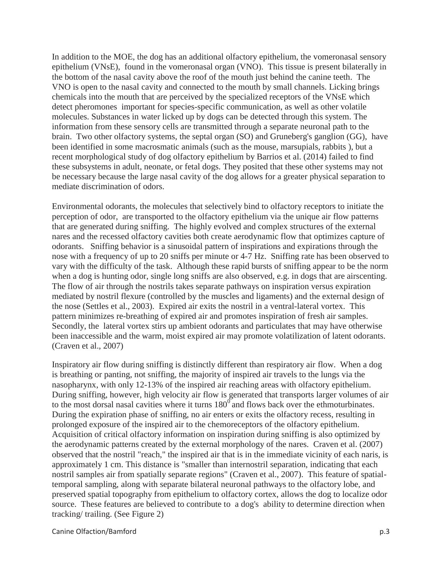In addition to the MOE, the dog has an additional olfactory epithelium, the vomeronasal sensory epithelium (VNsE), found in the vomeronasal organ (VNO). This tissue is present bilaterally in the bottom of the nasal cavity above the roof of the mouth just behind the canine teeth. The VNO is open to the nasal cavity and connected to the mouth by small channels. Licking brings chemicals into the mouth that are perceived by the specialized receptors of the VNsE which detect pheromones important for species-specific communication, as well as other volatile molecules. Substances in water licked up by dogs can be detected through this system. The information from these sensory cells are transmitted through a separate neuronal path to the brain. Two other olfactory systems, the septal organ (SO) and Gruneberg's ganglion (GG), have been identified in some macrosmatic animals (such as the mouse, marsupials, rabbits ), but a recent morphological study of dog olfactory epithelium by Barrios et al. (2014) failed to find these subsystems in adult, neonate, or fetal dogs. They posited that these other systems may not be necessary because the large nasal cavity of the dog allows for a greater physical separation to mediate discrimination of odors.

Environmental odorants, the molecules that selectively bind to olfactory receptors to initiate the perception of odor, are transported to the olfactory epithelium via the unique air flow patterns that are generated during sniffing. The highly evolved and complex structures of the external nares and the recessed olfactory cavities both create aerodynamic flow that optimizes capture of odorants. Sniffing behavior is a sinusoidal pattern of inspirations and expirations through the nose with a frequency of up to 20 sniffs per minute or 4-7 Hz. Sniffing rate has been observed to vary with the difficulty of the task. Although these rapid bursts of sniffing appear to be the norm when a dog is hunting odor, single long sniffs are also observed, e.g. in dogs that are airscenting. The flow of air through the nostrils takes separate pathways on inspiration versus expiration mediated by nostril flexure (controlled by the muscles and ligaments) and the external design of the nose (Settles et al., 2003). Expired air exits the nostril in a ventral-lateral vortex. This pattern minimizes re-breathing of expired air and promotes inspiration of fresh air samples. Secondly, the lateral vortex stirs up ambient odorants and particulates that may have otherwise been inaccessible and the warm, moist expired air may promote volatilization of latent odorants. (Craven et al., 2007)

Inspiratory air flow during sniffing is distinctly different than respiratory air flow. When a dog is breathing or panting, not sniffing, the majority of inspired air travels to the lungs via the nasopharynx, with only 12-13% of the inspired air reaching areas with olfactory epithelium. During sniffing, however, high velocity air flow is generated that transports larger volumes of air to the most dorsal nasal cavities where it turns  $180^\circ$  and flows back over the ethmoturbinates. During the expiration phase of sniffing, no air enters or exits the olfactory recess, resulting in prolonged exposure of the inspired air to the chemoreceptors of the olfactory epithelium. Acquisition of critical olfactory information on inspiration during sniffing is also optimized by the aerodynamic patterns created by the external morphology of the nares. Craven et al. (2007) observed that the nostril "reach," the inspired air that is in the immediate vicinity of each naris, is approximately 1 cm. This distance is "smaller than internostril separation, indicating that each nostril samples air from spatially separate regions" (Craven et al., 2007). This feature of spatialtemporal sampling, along with separate bilateral neuronal pathways to the olfactory lobe, and preserved spatial topography from epithelium to olfactory cortex, allows the dog to localize odor source. These features are believed to contribute to a dog's ability to determine direction when tracking/ trailing. (See Figure 2)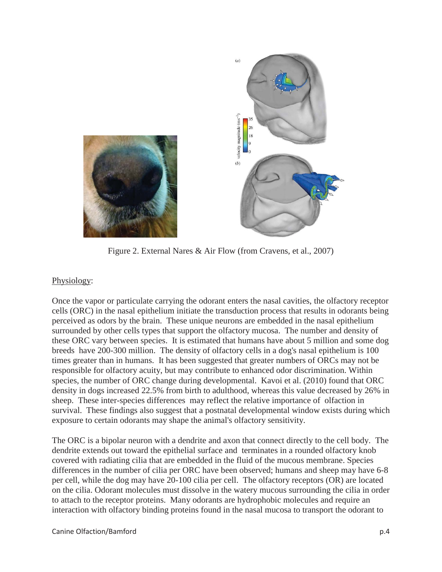

Figure 2. External Nares & Air Flow (from Cravens, et al., 2007)

## Physiology:

Once the vapor or particulate carrying the odorant enters the nasal cavities, the olfactory receptor cells (ORC) in the nasal epithelium initiate the transduction process that results in odorants being perceived as odors by the brain. These unique neurons are embedded in the nasal epithelium surrounded by other cells types that support the olfactory mucosa. The number and density of these ORC vary between species. It is estimated that humans have about 5 million and some dog breeds have 200-300 million. The density of olfactory cells in a dog's nasal epithelium is 100 times greater than in humans. It has been suggested that greater numbers of ORCs may not be responsible for olfactory acuity, but may contribute to enhanced odor discrimination. Within species, the number of ORC change during developmental. Kavoi et al. (2010) found that ORC density in dogs increased 22.5% from birth to adulthood, whereas this value decreased by 26% in sheep. These inter-species differences may reflect the relative importance of olfaction in survival. These findings also suggest that a postnatal developmental window exists during which exposure to certain odorants may shape the animal's olfactory sensitivity.

The ORC is a bipolar neuron with a dendrite and axon that connect directly to the cell body. The dendrite extends out toward the epithelial surface and terminates in a rounded olfactory knob covered with radiating cilia that are embedded in the fluid of the mucous membrane. Species differences in the number of cilia per ORC have been observed; humans and sheep may have 6-8 per cell, while the dog may have 20-100 cilia per cell. The olfactory receptors (OR) are located on the cilia. Odorant molecules must dissolve in the watery mucous surrounding the cilia in order to attach to the receptor proteins. Many odorants are hydrophobic molecules and require an interaction with olfactory binding proteins found in the nasal mucosa to transport the odorant to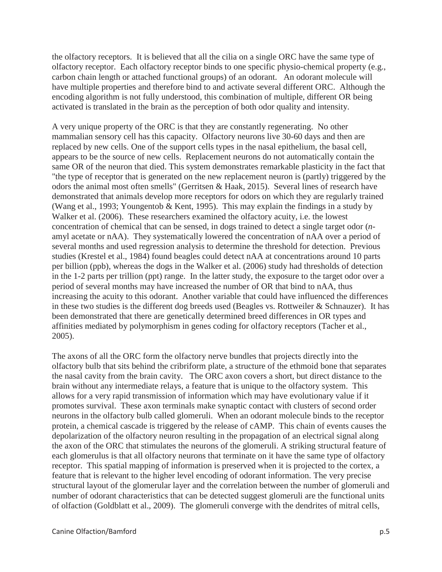the olfactory receptors. It is believed that all the cilia on a single ORC have the same type of olfactory receptor. Each olfactory receptor binds to one specific physio-chemical property (e.g., carbon chain length or attached functional groups) of an odorant. An odorant molecule will have multiple properties and therefore bind to and activate several different ORC. Although the encoding algorithm is not fully understood, this combination of multiple, different OR being activated is translated in the brain as the perception of both odor quality and intensity.

A very unique property of the ORC is that they are constantly regenerating. No other mammalian sensory cell has this capacity. Olfactory neurons live 30-60 days and then are replaced by new cells. One of the support cells types in the nasal epithelium, the basal cell, appears to be the source of new cells. Replacement neurons do not automatically contain the same OR of the neuron that died. This system demonstrates remarkable plasticity in the fact that "the type of receptor that is generated on the new replacement neuron is (partly) triggered by the odors the animal most often smells" (Gerritsen & Haak, 2015). Several lines of research have demonstrated that animals develop more receptors for odors on which they are regularly trained (Wang et al., 1993; Youngentob & Kent, 1995). This may explain the findings in a study by Walker et al. (2006). These researchers examined the olfactory acuity, i.e. the lowest concentration of chemical that can be sensed, in dogs trained to detect a single target odor (*n*amyl acetate or nAA). They systematically lowered the concentration of nAA over a period of several months and used regression analysis to determine the threshold for detection. Previous studies (Krestel et al., 1984) found beagles could detect nAA at concentrations around 10 parts per billion (ppb), whereas the dogs in the Walker et al. (2006) study had thresholds of detection in the 1-2 parts per trillion (ppt) range. In the latter study, the exposure to the target odor over a period of several months may have increased the number of OR that bind to nAA, thus increasing the acuity to this odorant. Another variable that could have influenced the differences in these two studies is the different dog breeds used (Beagles vs. Rottweiler & Schnauzer). It has been demonstrated that there are genetically determined breed differences in OR types and affinities mediated by polymorphism in genes coding for olfactory receptors (Tacher et al., 2005).

The axons of all the ORC form the olfactory nerve bundles that projects directly into the olfactory bulb that sits behind the cribriform plate, a structure of the ethmoid bone that separates the nasal cavity from the brain cavity. The ORC axon covers a short, but direct distance to the brain without any intermediate relays, a feature that is unique to the olfactory system. This allows for a very rapid transmission of information which may have evolutionary value if it promotes survival. These axon terminals make synaptic contact with clusters of second order neurons in the olfactory bulb called glomeruli. When an odorant molecule binds to the receptor protein, a chemical cascade is triggered by the release of cAMP. This chain of events causes the depolarization of the olfactory neuron resulting in the propagation of an electrical signal along the axon of the ORC that stimulates the neurons of the glomeruli. A striking structural feature of each glomerulus is that all olfactory neurons that terminate on it have the same type of olfactory receptor. This spatial mapping of information is preserved when it is projected to the cortex, a feature that is relevant to the higher level encoding of odorant information. The very precise structural layout of the glomerular layer and the correlation between the number of glomeruli and number of odorant characteristics that can be detected suggest glomeruli are the functional units of olfaction (Goldblatt et al., 2009). The glomeruli converge with the dendrites of mitral cells,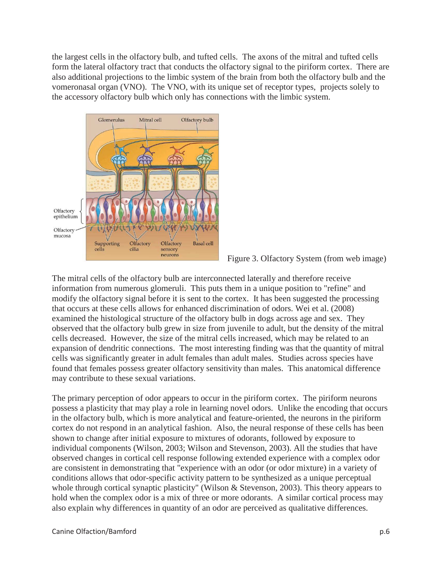the largest cells in the olfactory bulb, and tufted cells. The axons of the mitral and tufted cells form the lateral olfactory tract that conducts the olfactory signal to the piriform cortex. There are also additional projections to the limbic system of the brain from both the olfactory bulb and the vomeronasal organ (VNO). The VNO, with its unique set of receptor types, projects solely to the accessory olfactory bulb which only has connections with the limbic system.



Figure 3. Olfactory System (from web image)

The mitral cells of the olfactory bulb are interconnected laterally and therefore receive information from numerous glomeruli. This puts them in a unique position to "refine" and modify the olfactory signal before it is sent to the cortex. It has been suggested the processing that occurs at these cells allows for enhanced discrimination of odors. Wei et al. (2008) examined the histological structure of the olfactory bulb in dogs across age and sex. They observed that the olfactory bulb grew in size from juvenile to adult, but the density of the mitral cells decreased. However, the size of the mitral cells increased, which may be related to an expansion of dendritic connections. The most interesting finding was that the quantity of mitral cells was significantly greater in adult females than adult males. Studies across species have found that females possess greater olfactory sensitivity than males. This anatomical difference may contribute to these sexual variations.

The primary perception of odor appears to occur in the piriform cortex. The piriform neurons possess a plasticity that may play a role in learning novel odors. Unlike the encoding that occurs in the olfactory bulb, which is more analytical and feature-oriented, the neurons in the piriform cortex do not respond in an analytical fashion. Also, the neural response of these cells has been shown to change after initial exposure to mixtures of odorants, followed by exposure to individual components (Wilson, 2003; Wilson and Stevenson, 2003). All the studies that have observed changes in cortical cell response following extended experience with a complex odor are consistent in demonstrating that "experience with an odor (or odor mixture) in a variety of conditions allows that odor-specific activity pattern to be synthesized as a unique perceptual whole through cortical synaptic plasticity" (Wilson & Stevenson, 2003). This theory appears to hold when the complex odor is a mix of three or more odorants. A similar cortical process may also explain why differences in quantity of an odor are perceived as qualitative differences.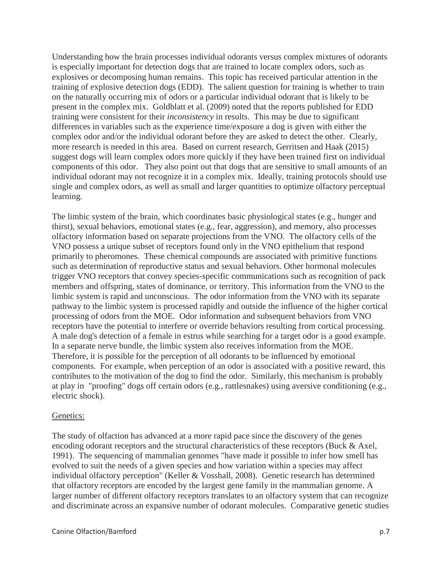Understanding how the brain processes individual odorants versus complex mixtures of odorants is especially important for detection dogs that are trained to locate complex odors, such as explosives or decomposing human remains. This topic has received particular attention in the training of explosive detection dogs (EDD). The salient question for training is whether to train on the naturally occurring mix of odors or a particular individual odorant that is likely to be present in the complex mix. Goldblatt et al. (2009) noted that the reports published for EDD training were consistent for their *inconsistency* in results. This may be due to significant differences in variables such as the experience time/exposure a dog is given with either the complex odor and/or the individual odorant before they are asked to detect the other. Clearly, more research is needed in this area. Based on current research, Gerritsen and Haak (2015) suggest dogs will learn complex odors more quickly if they have been trained first on individual components of this odor. They also point out that dogs that are sensitive to small amounts of an individual odorant may not recognize it in a complex mix. Ideally, training protocols should use single and complex odors, as well as small and larger quantities to optimize olfactory perceptual learning.

The limbic system of the brain, which coordinates basic physiological states (e.g., hunger and thirst), sexual behaviors, emotional states (e.g., fear, aggression), and memory, also processes olfactory information based on separate projections from the VNO. The olfactory cells of the VNO possess a unique subset of receptors found only in the VNO epithelium that respond primarily to pheromones. These chemical compounds are associated with primitive functions such as determination of reproductive status and sexual behaviors. Other hormonal molecules trigger VNO receptors that convey species-specific communications such as recognition of pack members and offspring, states of dominance, or territory. This information from the VNO to the limbic system is rapid and unconscious. The odor information from the VNO with its separate pathway to the limbic system is processed rapidly and outside the influence of the higher cortical processing of odors from the MOE. Odor information and subsequent behaviors from VNO receptors have the potential to interfere or override behaviors resulting from cortical processing. A male dog's detection of a female in estrus while searching for a target odor is a good example. In a separate nerve bundle, the limbic system also receives information from the MOE. Therefore, it is possible for the perception of all odorants to be influenced by emotional components. For example, when perception of an odor is associated with a positive reward, this contributes to the motivation of the dog to find the odor. Similarly, this mechanism is probably at play in "proofing" dogs off certain odors (e.g., rattlesnakes) using aversive conditioning (e.g., electric shock).

#### Genetics:

The study of olfaction has advanced at a more rapid pace since the discovery of the genes encoding odorant receptors and the structural characteristics of these receptors (Buck & Axel, 1991). The sequencing of mammalian genomes "have made it possible to infer how smell has evolved to suit the needs of a given species and how variation within a species may affect individual olfactory perception" (Keller & Vosshall, 2008). Genetic research has determined that olfactory receptors are encoded by the largest gene family in the mammalian genome. A larger number of different olfactory receptors translates to an olfactory system that can recognize and discriminate across an expansive number of odorant molecules. Comparative genetic studies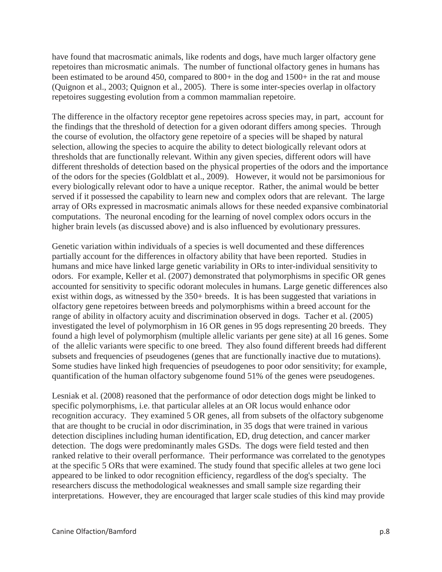have found that macrosmatic animals, like rodents and dogs, have much larger olfactory gene repetoires than microsmatic animals. The number of functional olfactory genes in humans has been estimated to be around 450, compared to 800+ in the dog and 1500+ in the rat and mouse (Quignon et al., 2003; Quignon et al., 2005). There is some inter-species overlap in olfactory repetoires suggesting evolution from a common mammalian repetoire.

The difference in the olfactory receptor gene repetoires across species may, in part, account for the findings that the threshold of detection for a given odorant differs among species. Through the course of evolution, the olfactory gene repetoire of a species will be shaped by natural selection, allowing the species to acquire the ability to detect biologically relevant odors at thresholds that are functionally relevant. Within any given species, different odors will have different thresholds of detection based on the physical properties of the odors and the importance of the odors for the species (Goldblatt et al., 2009). However, it would not be parsimonious for every biologically relevant odor to have a unique receptor. Rather, the animal would be better served if it possessed the capability to learn new and complex odors that are relevant. The large array of ORs expressed in macrosmatic animals allows for these needed expansive combinatorial computations. The neuronal encoding for the learning of novel complex odors occurs in the higher brain levels (as discussed above) and is also influenced by evolutionary pressures.

Genetic variation within individuals of a species is well documented and these differences partially account for the differences in olfactory ability that have been reported. Studies in humans and mice have linked large genetic variability in ORs to inter-individual sensitivity to odors. For example, Keller et al. (2007) demonstrated that polymorphisms in specific OR genes accounted for sensitivity to specific odorant molecules in humans. Large genetic differences also exist within dogs, as witnessed by the 350+ breeds. It is has been suggested that variations in olfactory gene repetoires between breeds and polymorphisms within a breed account for the range of ability in olfactory acuity and discrimination observed in dogs. Tacher et al. (2005) investigated the level of polymorphism in 16 OR genes in 95 dogs representing 20 breeds. They found a high level of polymorphism (multiple allelic variants per gene site) at all 16 genes. Some of the allelic variants were specific to one breed. They also found different breeds had different subsets and frequencies of pseudogenes (genes that are functionally inactive due to mutations). Some studies have linked high frequencies of pseudogenes to poor odor sensitivity; for example, quantification of the human olfactory subgenome found 51% of the genes were pseudogenes.

Lesniak et al. (2008) reasoned that the performance of odor detection dogs might be linked to specific polymorphisms, i.e. that particular alleles at an OR locus would enhance odor recognition accuracy. They examined 5 OR genes, all from subsets of the olfactory subgenome that are thought to be crucial in odor discrimination, in 35 dogs that were trained in various detection disciplines including human identification, ED, drug detection, and cancer marker detection. The dogs were predominantly males GSDs. The dogs were field tested and then ranked relative to their overall performance. Their performance was correlated to the genotypes at the specific 5 ORs that were examined. The study found that specific alleles at two gene loci appeared to be linked to odor recognition efficiency, regardless of the dog's specialty. The researchers discuss the methodological weaknesses and small sample size regarding their interpretations. However, they are encouraged that larger scale studies of this kind may provide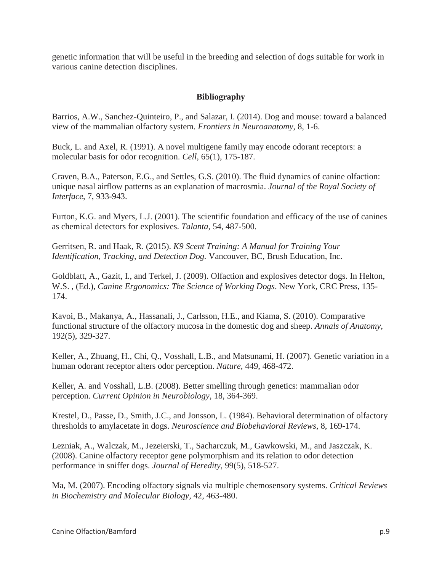genetic information that will be useful in the breeding and selection of dogs suitable for work in various canine detection disciplines.

## **Bibliography**

Barrios, A.W., Sanchez-Quinteiro, P., and Salazar, I. (2014). Dog and mouse: toward a balanced view of the mammalian olfactory system. *Frontiers in Neuroanatomy*, 8, 1-6.

Buck, L. and Axel, R. (1991). A novel multigene family may encode odorant receptors: a molecular basis for odor recognition. *Cell*, 65(1), 175-187.

Craven, B.A., Paterson, E.G., and Settles, G.S. (2010). The fluid dynamics of canine olfaction: unique nasal airflow patterns as an explanation of macrosmia. *Journal of the Royal Society of Interface*, 7, 933-943.

Furton, K.G. and Myers, L.J. (2001). The scientific foundation and efficacy of the use of canines as chemical detectors for explosives. *Talanta*, 54, 487-500.

Gerritsen, R. and Haak, R. (2015). *K9 Scent Training: A Manual for Training Your Identification, Tracking, and Detection Dog.* Vancouver, BC, Brush Education, Inc.

Goldblatt, A., Gazit, I., and Terkel, J. (2009). Olfaction and explosives detector dogs. In Helton, W.S. , (Ed.), *Canine Ergonomics: The Science of Working Dogs*. New York, CRC Press, 135- 174.

Kavoi, B., Makanya, A., Hassanali, J., Carlsson, H.E., and Kiama, S. (2010). Comparative functional structure of the olfactory mucosa in the domestic dog and sheep. *Annals of Anatomy*, 192(5), 329-327.

Keller, A., Zhuang, H., Chi, Q., Vosshall, L.B., and Matsunami, H. (2007). Genetic variation in a human odorant receptor alters odor perception. *Nature*, 449, 468-472.

Keller, A. and Vosshall, L.B. (2008). Better smelling through genetics: mammalian odor perception. *Current Opinion in Neurobiology*, 18, 364-369.

Krestel, D., Passe, D., Smith, J.C., and Jonsson, L. (1984). Behavioral determination of olfactory thresholds to amylacetate in dogs. *Neuroscience and Biobehavioral Reviews*, 8, 169-174.

Lezniak, A., Walczak, M., Jezeierski, T., Sacharczuk, M., Gawkowski, M., and Jaszczak, K. (2008). Canine olfactory receptor gene polymorphism and its relation to odor detection performance in sniffer dogs. *Journal of Heredity*, 99(5), 518-527.

Ma, M. (2007). Encoding olfactory signals via multiple chemosensory systems. *Critical Reviews in Biochemistry and Molecular Biology,* 42, 463-480.